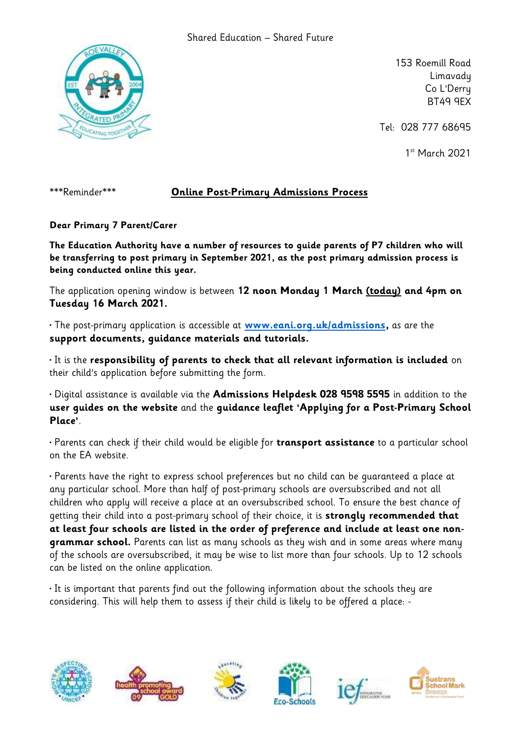

153 Roemill Road Limavady Co L'Derry BT49 9EX

Tel: 028 777 68695

1 st March 2021

## \*\*\*Reminder\*\*\* **Online Post-Primary Admissions Process**

**Dear Primary 7 Parent/Carer**

**The Education Authority have a number of resources to guide parents of P7 children who will be transferring to post primary in September 2021, as the post primary admission process is being conducted online this year.** 

The application opening window is between **12 noon Monday 1 March (today) and 4pm on Tuesday 16 March 2021.** 

• The post-primary application is accessible at **[www.eani.org.uk/admissions,](http://www.eani.org.uk/admissions)** as are the **support documents, guidance materials and tutorials.** 

• It is the **responsibility of parents to check that all relevant information is included** on their child's application before submitting the form.

• Digital assistance is available via the **Admissions Helpdesk 028 9598 5595** in addition to the **user guides on the website** and the **guidance leaflet 'Applying for a Post-Primary School Place'**.

• Parents can check if their child would be eligible for **transport assistance** to a particular school on the EA website.

• Parents have the right to express school preferences but no child can be guaranteed a place at any particular school. More than half of post-primary schools are oversubscribed and not all children who apply will receive a place at an oversubscribed school. To ensure the best chance of getting their child into a post-primary school of their choice, it is **strongly recommended that at least four schools are listed in the order of preference and include at least one nongrammar school.** Parents can list as many schools as they wish and in some areas where many of the schools are oversubscribed, it may be wise to list more than four schools. Up to 12 schools can be listed on the online application.

• It is important that parents find out the following information about the schools they are considering. This will help them to assess if their child is likely to be offered a place: -